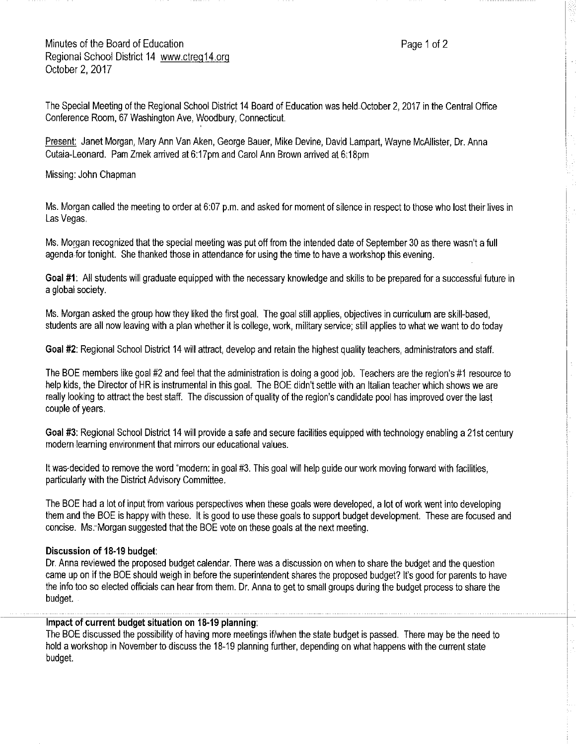## Minutes of the Board of Education **Page 1 of 2** and 2 Regional School District 14 www.ctreg14.org October 2, 2017

The Special Meeting of the Regional School District 14 Board of Education was held-October 2, 2017 in the Central Office Conference Room, 67 Washington Ave, Woodbury, Connecticut.

Present: Janet Morgan, Mary Ann Van Aken, George Bauer, Mike Devine, David Lampart, Wayne McAllister, Dr. Anna Cutaia-Leonard. Pam Zmek arrived at 6:17pm and Carol Ann Brown arrived at 6:18pm

Missing: John Chapman

Ms. Morgan called the meeting to order at 6:07 p.m. and asked for moment of silence in respect to those who lost their lives in Las Vegas.

Ms. Morgan recognized that the special meeting was put off from the intended date of September 30 as there wasn't afull agenda-for tonight. She thanked those in attendance for using the time to have aworkshop this evening.

**Goal #1:** A!I students will graduate equipped with the necessary knowledge and skills to be prepared for asuccessful future in aglobal society.

Ms. Morgan asked the group how they liked the first goal. The goal still applies, objectives in curriculum are skill-based, students are all now leaving with a plan whether it is college, work, military service; still applies to what we want to do today

**Goal #2:** Regional School District 14 will attract, develop and retain the highest quality teachers, administrators and staff.

The BOE members like goal #2 and feel that the administration is doing agood job. Teachers are the region's #1 resource to help kids, the Director of HR is instrumental in this goal. The BOE didn't settle with an Italian teacher which shows we are really looking to attract the best staff. The discussion of quality of the region's candidate pool has improved over the last couple of years.

**Goal #3:** Regional School District 14 will provide asafe and secure facilities equipped with technology enabling a 21st century modern !earning environment that mirrors our educational values.

It was-decided to remove the word "modern: in goal #3. This goal will help guide our work moving forward with facilities, particularly with the District Advisory Committee.

The BOE had a lot of input from various perspectives when these goals were developed, a lot of work went into developing them and the BOE is happy with these. It is good to use these goals to support budget development. These are focused and concise. Ms.-Morgan suggested that the BOE vote on these goals at the next meeting.

## **Discussion of 18-19 budget:**

Dr. Anna reviewed the proposed budget calendar. There was a discussion on when to share the budget and the question came up on if the BOE should weigh in before the superintendent shares the proposed budget? It's good for parents to have the info too so elected officials can hear from them. Dr. Anna to get to small groups during the budget process to share the budget.

## **Impact of current budget situation on 18-19 planning:**

The BOE discussed the possibility of having more meetings if/when the state budget is passed. There may be the need to hold aworkshop in November to discuss the 18-19 planning further, depending on what happens with the current state budget.